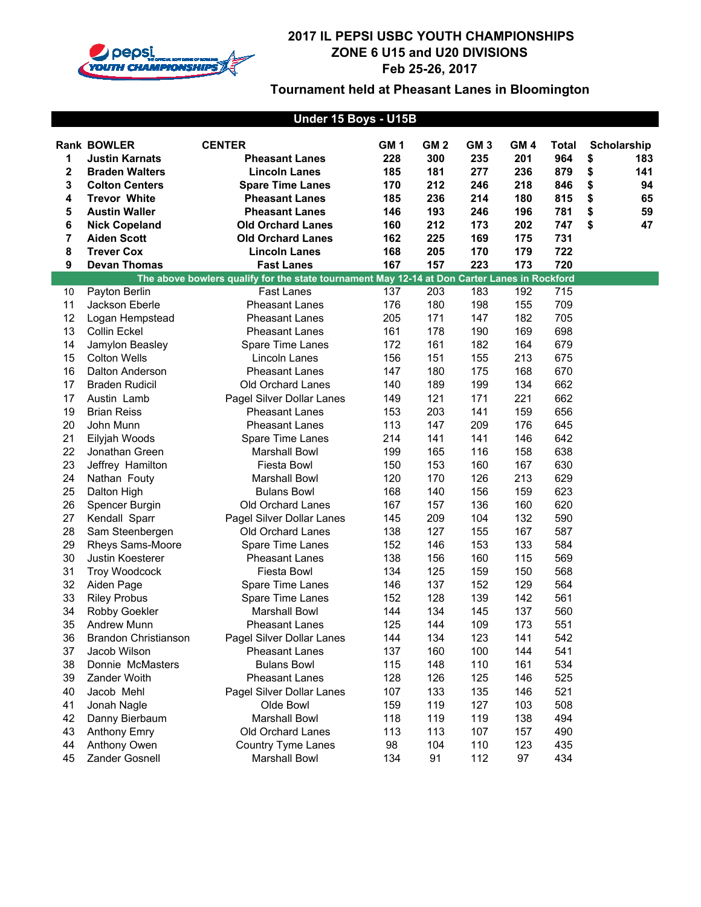

| Under 15 Boys - U15B |                             |                                                                                              |                 |                 |                 |                 |              |    |             |
|----------------------|-----------------------------|----------------------------------------------------------------------------------------------|-----------------|-----------------|-----------------|-----------------|--------------|----|-------------|
|                      | <b>Rank BOWLER</b>          | <b>CENTER</b>                                                                                | GM <sub>1</sub> | GM <sub>2</sub> | GM <sub>3</sub> | GM <sub>4</sub> | <b>Total</b> |    | Scholarship |
| 1                    | <b>Justin Karnats</b>       | <b>Pheasant Lanes</b>                                                                        | 228             | 300             | 235             | 201             | 964          | \$ | 183         |
| $\mathbf 2$          | <b>Braden Walters</b>       | <b>Lincoln Lanes</b>                                                                         | 185             | 181             | 277             | 236             | 879          | \$ | 141         |
| 3                    | <b>Colton Centers</b>       | <b>Spare Time Lanes</b>                                                                      | 170             | 212             | 246             | 218             | 846          | \$ | 94          |
| 4                    | <b>Trevor White</b>         | <b>Pheasant Lanes</b>                                                                        | 185             | 236             | 214             | 180             | 815          | \$ | 65          |
| 5                    | <b>Austin Waller</b>        | <b>Pheasant Lanes</b>                                                                        | 146             | 193             | 246             | 196             | 781          | \$ | 59          |
| 6                    | <b>Nick Copeland</b>        | <b>Old Orchard Lanes</b>                                                                     | 160             | 212             | 173             | 202             | 747          | \$ | 47          |
| 7                    | <b>Aiden Scott</b>          | <b>Old Orchard Lanes</b>                                                                     | 162             | 225             | 169             | 175             | 731          |    |             |
| 8                    | <b>Trever Cox</b>           | <b>Lincoln Lanes</b>                                                                         | 168             | 205             | 170             | 179             | 722          |    |             |
| 9                    | <b>Devan Thomas</b>         | <b>Fast Lanes</b>                                                                            | 167             | 157             | 223             | 173             | 720          |    |             |
|                      |                             | The above bowlers qualify for the state tournament May 12-14 at Don Carter Lanes in Rockford |                 |                 |                 |                 |              |    |             |
| 10                   | Payton Berlin               | <b>Fast Lanes</b>                                                                            | 137             | 203             | 183             | 192             | 715          |    |             |
| 11                   | Jackson Eberle              | <b>Pheasant Lanes</b>                                                                        | 176             | 180             | 198             | 155             | 709          |    |             |
| 12                   | Logan Hempstead             | <b>Pheasant Lanes</b>                                                                        | 205             | 171             | 147             | 182             | 705          |    |             |
| 13                   | Collin Eckel                | <b>Pheasant Lanes</b>                                                                        | 161             | 178             | 190             | 169             | 698          |    |             |
| 14                   | Jamylon Beasley             | Spare Time Lanes                                                                             | 172             | 161             | 182             | 164             | 679          |    |             |
| 15                   | <b>Colton Wells</b>         | Lincoln Lanes                                                                                | 156             | 151             | 155             | 213             | 675          |    |             |
| 16                   | Dalton Anderson             | <b>Pheasant Lanes</b>                                                                        | 147             | 180             | 175             | 168             | 670          |    |             |
| 17                   | <b>Braden Rudicil</b>       | Old Orchard Lanes                                                                            | 140             | 189             | 199             | 134             | 662          |    |             |
| 17                   | Austin Lamb                 | Pagel Silver Dollar Lanes                                                                    | 149             | 121             | 171             | 221             | 662          |    |             |
| 19                   | <b>Brian Reiss</b>          | <b>Pheasant Lanes</b>                                                                        | 153             | 203             | 141             | 159             | 656          |    |             |
| 20                   | John Munn                   | <b>Pheasant Lanes</b>                                                                        | 113             | 147             | 209             | 176             | 645          |    |             |
| 21                   | Eilyjah Woods               | Spare Time Lanes                                                                             | 214             | 141             | 141             | 146             | 642          |    |             |
| 22                   | Jonathan Green              | <b>Marshall Bowl</b>                                                                         | 199             | 165             | 116             | 158             | 638          |    |             |
| 23                   | Jeffrey Hamilton            | Fiesta Bowl                                                                                  | 150             | 153             | 160             | 167             | 630          |    |             |
| 24                   | Nathan Fouty                | <b>Marshall Bowl</b>                                                                         | 120             | 170             | 126             | 213             | 629          |    |             |
| 25                   | Dalton High                 | <b>Bulans Bowl</b>                                                                           | 168             | 140             | 156             | 159             | 623          |    |             |
| 26                   | Spencer Burgin              | Old Orchard Lanes                                                                            | 167             | 157             | 136             | 160             | 620          |    |             |
| 27                   | Kendall Sparr               | Pagel Silver Dollar Lanes                                                                    | 145             | 209             | 104             | 132             | 590          |    |             |
| 28                   | Sam Steenbergen             | Old Orchard Lanes                                                                            | 138             | 127             | 155             | 167             | 587          |    |             |
| 29                   | Rheys Sams-Moore            | Spare Time Lanes                                                                             | 152             | 146             | 153             | 133             | 584          |    |             |
| 30                   | Justin Koesterer            | <b>Pheasant Lanes</b>                                                                        | 138             | 156             | 160             | 115             | 569          |    |             |
| 31                   | <b>Troy Woodcock</b>        | <b>Fiesta Bowl</b>                                                                           | 134             | 125             | 159             | 150             | 568          |    |             |
| 32                   | Aiden Page                  | Spare Time Lanes                                                                             | 146             | 137             | 152             | 129             | 564          |    |             |
| 33                   | <b>Riley Probus</b>         | Spare Time Lanes                                                                             | 152             | 128             | 139             | 142             | 561          |    |             |
| 34                   | Robby Goekler               | <b>Marshall Bowl</b>                                                                         | 144             | 134             | 145             | 137             | 560          |    |             |
| 35                   | Andrew Munn                 | Pheasant Lanes                                                                               | 125             | 144             | 109             | 173             | 551          |    |             |
| 36                   | <b>Brandon Christianson</b> | Pagel Silver Dollar Lanes                                                                    | 144             | 134             | 123             | 141             | 542          |    |             |
| 37                   | Jacob Wilson                | <b>Pheasant Lanes</b>                                                                        | 137             | 160             | 100             | 144             | 541          |    |             |
| 38                   | Donnie McMasters            | <b>Bulans Bowl</b>                                                                           | 115             | 148             | 110             | 161             | 534          |    |             |
| 39                   | Zander Woith                | <b>Pheasant Lanes</b>                                                                        | 128             | 126             | 125             | 146             | 525          |    |             |
| 40                   | Jacob Mehl                  | Pagel Silver Dollar Lanes                                                                    | 107             | 133             | 135             | 146             | 521          |    |             |
| 41                   | Jonah Nagle                 | Olde Bowl                                                                                    | 159             | 119             | 127             | 103             | 508          |    |             |
| 42                   | Danny Bierbaum              | <b>Marshall Bowl</b>                                                                         | 118             | 119             | 119             | 138             | 494          |    |             |
| 43                   | <b>Anthony Emry</b>         | Old Orchard Lanes                                                                            | 113             | 113             | 107             | 157             | 490          |    |             |
| 44                   | Anthony Owen                | <b>Country Tyme Lanes</b>                                                                    | 98              | 104             | 110             | 123             | 435          |    |             |
| 45                   | Zander Gosnell              | <b>Marshall Bowl</b>                                                                         | 134             | 91              | 112             | 97              | 434          |    |             |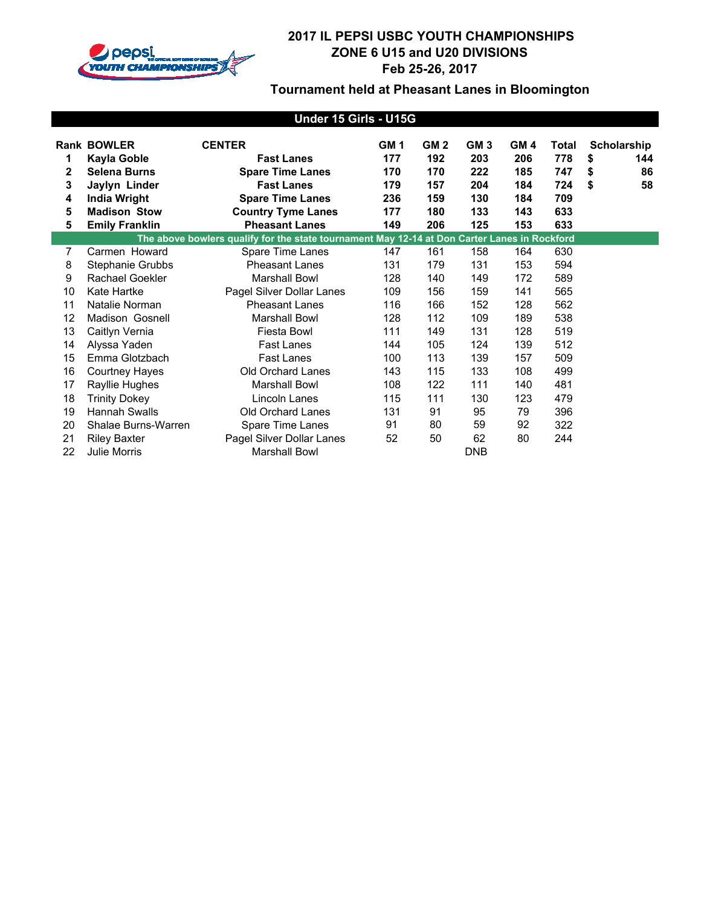

| Under 15 Girls - U15G |                             |                                                                                              |                 |                 |                 |                 |              |          |             |
|-----------------------|-----------------------------|----------------------------------------------------------------------------------------------|-----------------|-----------------|-----------------|-----------------|--------------|----------|-------------|
|                       | <b>Rank BOWLER</b>          | <b>CENTER</b>                                                                                | GM <sub>1</sub> | GM <sub>2</sub> | GM <sub>3</sub> | GM <sub>4</sub> | <b>Total</b> |          | Scholarship |
| 1<br>2                | Kayla Goble<br>Selena Burns | <b>Fast Lanes</b>                                                                            | 177             | 192             | 203             | 206             | 778          | \$       | 144         |
| 3                     | Jaylyn Linder               | <b>Spare Time Lanes</b><br><b>Fast Lanes</b>                                                 | 170<br>179      | 170<br>157      | 222<br>204      | 185<br>184      | 747<br>724   | \$<br>\$ | 86<br>58    |
| 4                     | <b>India Wright</b>         | <b>Spare Time Lanes</b>                                                                      | 236             | 159             | 130             | 184             | 709          |          |             |
| 5                     | <b>Madison Stow</b>         | <b>Country Tyme Lanes</b>                                                                    | 177             | 180             | 133             | 143             | 633          |          |             |
| 5                     | <b>Emily Franklin</b>       | <b>Pheasant Lanes</b>                                                                        | 149             | 206             | 125             | 153             | 633          |          |             |
|                       |                             | The above bowlers qualify for the state tournament May 12-14 at Don Carter Lanes in Rockford |                 |                 |                 |                 |              |          |             |
| $\overline{7}$        | Carmen Howard               | Spare Time Lanes                                                                             | 147             | 161             | 158             | 164             | 630          |          |             |
| 8                     | Stephanie Grubbs            | <b>Pheasant Lanes</b>                                                                        | 131             | 179             | 131             | 153             | 594          |          |             |
| 9                     | Rachael Goekler             | <b>Marshall Bowl</b>                                                                         | 128             | 140             | 149             | 172             | 589          |          |             |
| 10                    | Kate Hartke                 | Pagel Silver Dollar Lanes                                                                    | 109             | 156             | 159             | 141             | 565          |          |             |
| 11                    | Natalie Norman              | <b>Pheasant Lanes</b>                                                                        | 116             | 166             | 152             | 128             | 562          |          |             |
| 12                    | Madison Gosnell             | <b>Marshall Bowl</b>                                                                         | 128             | 112             | 109             | 189             | 538          |          |             |
| 13                    | Caitlyn Vernia              | Fiesta Bowl                                                                                  | 111             | 149             | 131             | 128             | 519          |          |             |
| 14                    | Alyssa Yaden                | <b>Fast Lanes</b>                                                                            | 144             | 105             | 124             | 139             | 512          |          |             |
| 15                    | Emma Glotzbach              | Fast Lanes                                                                                   | 100             | 113             | 139             | 157             | 509          |          |             |
| 16                    | <b>Courtney Hayes</b>       | Old Orchard Lanes                                                                            | 143             | 115             | 133             | 108             | 499          |          |             |
| 17                    | Rayllie Hughes              | <b>Marshall Bowl</b>                                                                         | 108             | 122             | 111             | 140             | 481          |          |             |
| 18                    | <b>Trinity Dokey</b>        | Lincoln Lanes                                                                                | 115             | 111             | 130             | 123             | 479          |          |             |
| 19                    | <b>Hannah Swalls</b>        | <b>Old Orchard Lanes</b>                                                                     | 131             | 91              | 95              | 79              | 396          |          |             |
| 20                    | Shalae Burns-Warren         | Spare Time Lanes                                                                             | 91              | 80              | 59              | 92              | 322          |          |             |
| 21                    | <b>Riley Baxter</b>         | Pagel Silver Dollar Lanes                                                                    | 52              | 50              | 62              | 80              | 244          |          |             |
| 22                    | Julie Morris                | <b>Marshall Bowl</b>                                                                         |                 |                 | <b>DNB</b>      |                 |              |          |             |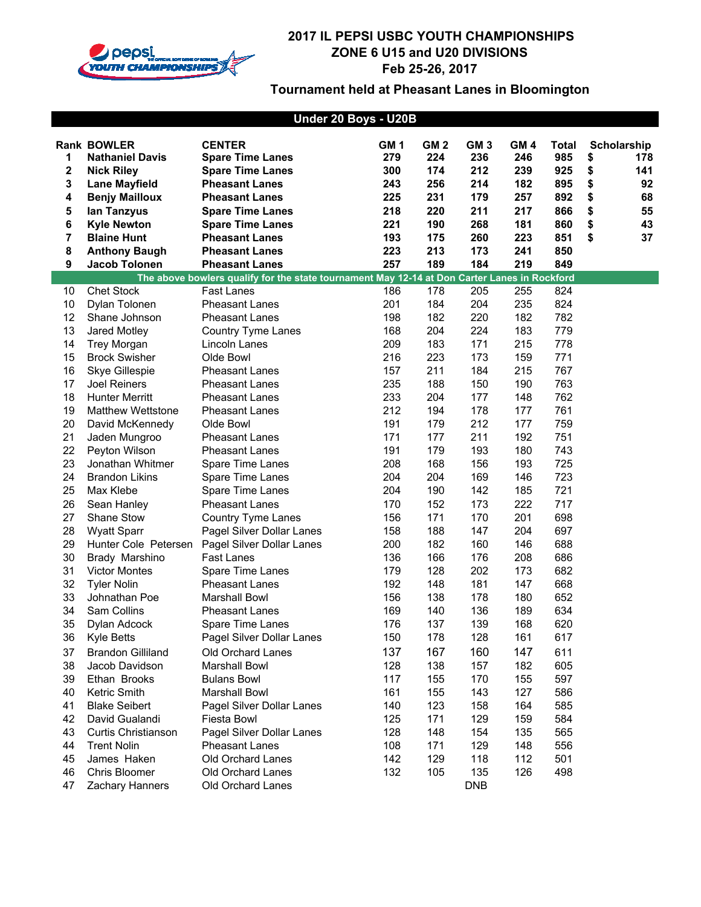

| Under 20 Boys - U20B |                                              |                                                                                              |                 |                        |                        |                        |                     |    |                    |
|----------------------|----------------------------------------------|----------------------------------------------------------------------------------------------|-----------------|------------------------|------------------------|------------------------|---------------------|----|--------------------|
|                      |                                              |                                                                                              | GM <sub>1</sub> |                        |                        |                        |                     |    |                    |
| 1                    | <b>Rank BOWLER</b><br><b>Nathaniel Davis</b> | <b>CENTER</b><br><b>Spare Time Lanes</b>                                                     | 279             | GM <sub>2</sub><br>224 | GM <sub>3</sub><br>236 | GM <sub>4</sub><br>246 | <b>Total</b><br>985 | \$ | Scholarship<br>178 |
| 2                    | <b>Nick Riley</b>                            | <b>Spare Time Lanes</b>                                                                      | 300             | 174                    | 212                    | 239                    | 925                 | \$ | 141                |
| 3                    | <b>Lane Mayfield</b>                         | <b>Pheasant Lanes</b>                                                                        | 243             | 256                    | 214                    | 182                    | 895                 | \$ | 92                 |
| 4                    | <b>Benjy Mailloux</b>                        | <b>Pheasant Lanes</b>                                                                        | 225             | 231                    | 179                    | 257                    | 892                 | \$ | 68                 |
| 5                    | lan Tanzyus                                  | <b>Spare Time Lanes</b>                                                                      | 218             | 220                    | 211                    | 217                    | 866                 | \$ | 55                 |
| 6                    | <b>Kyle Newton</b>                           | <b>Spare Time Lanes</b>                                                                      | 221             | 190                    | 268                    | 181                    | 860                 | \$ | 43                 |
| 7                    | <b>Blaine Hunt</b>                           | <b>Pheasant Lanes</b>                                                                        | 193             | 175                    | 260                    | 223                    | 851                 | \$ | 37                 |
| 8                    | <b>Anthony Baugh</b>                         | <b>Pheasant Lanes</b>                                                                        | 223             | 213                    | 173                    | 241                    | 850                 |    |                    |
| $\boldsymbol{9}$     | Jacob Tolonen                                | <b>Pheasant Lanes</b>                                                                        | 257             | 189                    | 184                    | 219                    | 849                 |    |                    |
|                      |                                              | The above bowlers qualify for the state tournament May 12-14 at Don Carter Lanes in Rockford |                 |                        |                        |                        |                     |    |                    |
| 10                   | <b>Chet Stock</b>                            | <b>Fast Lanes</b>                                                                            | 186             | 178                    | 205                    | 255                    | 824                 |    |                    |
| 10                   | Dylan Tolonen                                | <b>Pheasant Lanes</b>                                                                        | 201             | 184                    | 204                    | 235                    | 824                 |    |                    |
| 12                   | Shane Johnson                                | <b>Pheasant Lanes</b>                                                                        | 198             | 182                    | 220                    | 182                    | 782                 |    |                    |
| 13                   | Jared Motley                                 | Country Tyme Lanes                                                                           | 168             | 204                    | 224                    | 183                    | 779                 |    |                    |
| 14                   | <b>Trey Morgan</b>                           | Lincoln Lanes                                                                                | 209             | 183                    | 171                    | 215                    | 778                 |    |                    |
| 15                   | <b>Brock Swisher</b>                         | Olde Bowl                                                                                    | 216             | 223                    | 173                    | 159                    | 771                 |    |                    |
| 16                   | Skye Gillespie                               | <b>Pheasant Lanes</b>                                                                        | 157             | 211                    | 184                    | 215                    | 767                 |    |                    |
| 17                   | <b>Joel Reiners</b>                          | <b>Pheasant Lanes</b>                                                                        | 235             | 188                    | 150                    | 190                    | 763                 |    |                    |
| 18                   | <b>Hunter Merritt</b>                        | <b>Pheasant Lanes</b>                                                                        | 233             | 204                    | 177                    | 148                    | 762                 |    |                    |
| 19                   | <b>Matthew Wettstone</b>                     | <b>Pheasant Lanes</b>                                                                        | 212             | 194                    | 178                    | 177                    | 761                 |    |                    |
| 20                   | David McKennedy                              | Olde Bowl                                                                                    | 191             | 179                    | 212                    | 177                    | 759                 |    |                    |
| 21                   | Jaden Mungroo                                | <b>Pheasant Lanes</b>                                                                        | 171             | 177                    | 211                    | 192                    | 751                 |    |                    |
| 22                   | Peyton Wilson                                | <b>Pheasant Lanes</b>                                                                        | 191             | 179                    | 193                    | 180                    | 743                 |    |                    |
| 23                   | Jonathan Whitmer                             | Spare Time Lanes                                                                             | 208             | 168                    | 156                    | 193                    | 725                 |    |                    |
| 24                   | <b>Brandon Likins</b>                        | Spare Time Lanes                                                                             | 204             | 204                    | 169                    | 146                    | 723                 |    |                    |
| 25                   | Max Klebe                                    | Spare Time Lanes                                                                             | 204             | 190                    | 142                    | 185                    | 721                 |    |                    |
| 26                   | Sean Hanley                                  | <b>Pheasant Lanes</b>                                                                        | 170             | 152                    | 173                    | 222                    | 717                 |    |                    |
| 27                   | Shane Stow                                   | Country Tyme Lanes                                                                           | 156             | 171                    | 170                    | 201                    | 698                 |    |                    |
| 28                   | <b>Wyatt Sparr</b>                           | Pagel Silver Dollar Lanes                                                                    | 158             | 188                    | 147                    | 204                    | 697                 |    |                    |
| 29                   | Hunter Cole Petersen                         | Pagel Silver Dollar Lanes                                                                    | 200             | 182                    | 160                    | 146                    | 688                 |    |                    |
| 30                   | Brady Marshino                               | Fast Lanes                                                                                   | 136             | 166                    | 176                    | 208                    | 686                 |    |                    |
| 31                   | <b>Victor Montes</b>                         | Spare Time Lanes                                                                             | 179             | 128                    | 202                    | 173                    | 682                 |    |                    |
| 32                   | <b>Tyler Nolin</b>                           | <b>Pheasant Lanes</b>                                                                        | 192             | 148                    | 181                    | 147                    | 668                 |    |                    |
| 33                   | Johnathan Poe                                | <b>Marshall Bowl</b>                                                                         | 156             | 138                    | 178                    | 180                    | 652                 |    |                    |
| 34                   | Sam Collins                                  | <b>Pheasant Lanes</b>                                                                        | 169             | 140                    | 136                    | 189                    | 634                 |    |                    |
| 35                   | Dylan Adcock                                 | Spare Time Lanes                                                                             | 176             | 137                    | 139                    | 168                    | 620                 |    |                    |
| 36                   | Kyle Betts                                   | Pagel Silver Dollar Lanes                                                                    | 150             | 178                    | 128                    | 161                    | 617                 |    |                    |
| 37                   | <b>Brandon Gilliland</b>                     | Old Orchard Lanes                                                                            | 137             | 167                    | 160                    | 147                    | 611                 |    |                    |
| 38                   | Jacob Davidson                               | Marshall Bowl                                                                                | 128             | 138                    | 157                    | 182                    | 605                 |    |                    |
| 39                   | Ethan Brooks                                 | <b>Bulans Bowl</b>                                                                           | 117             | 155                    | 170                    | 155                    | 597                 |    |                    |
| 40                   | Ketric Smith                                 | Marshall Bowl                                                                                | 161             | 155                    | 143                    | 127                    | 586                 |    |                    |
| 41                   | <b>Blake Seibert</b>                         | Pagel Silver Dollar Lanes                                                                    | 140             | 123                    | 158                    | 164                    | 585                 |    |                    |
| 42                   | David Gualandi                               | Fiesta Bowl                                                                                  | 125             | 171                    | 129                    | 159                    | 584                 |    |                    |
| 43                   | Curtis Christianson                          | Pagel Silver Dollar Lanes                                                                    | 128             | 148                    | 154                    | 135                    | 565                 |    |                    |
| 44                   | <b>Trent Nolin</b>                           | Pheasant Lanes                                                                               | 108             | 171                    | 129                    | 148                    | 556                 |    |                    |
| 45                   | James Haken                                  | Old Orchard Lanes                                                                            | 142             | 129                    | 118                    | 112                    | 501                 |    |                    |
| 46                   | Chris Bloomer                                | Old Orchard Lanes                                                                            | 132             | 105                    | 135                    | 126                    | 498                 |    |                    |
| 47                   | Zachary Hanners                              | Old Orchard Lanes                                                                            |                 |                        | <b>DNB</b>             |                        |                     |    |                    |